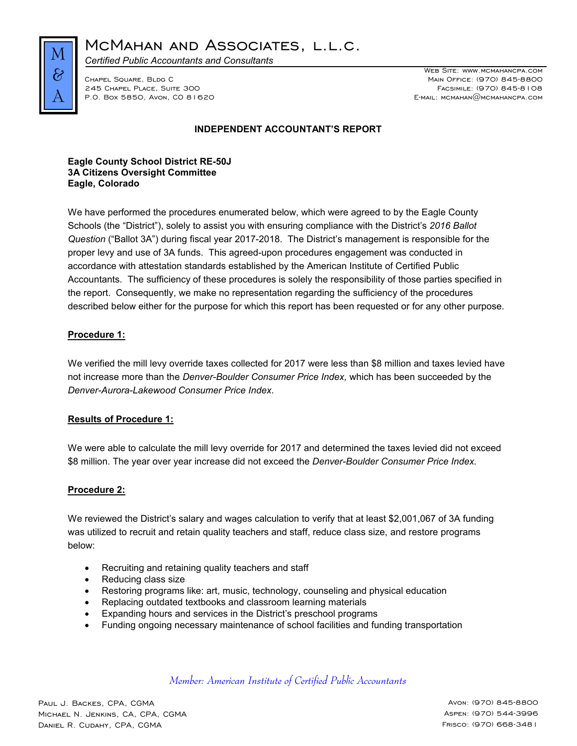

MCMAHAN AND ASSOCIATES, L.L.C.

*Certified Public Accountants and Consultants*

Chapel Square, Bldg C Main Office: (970) 845-8800 245 Chapel Place, Suite 300 Facsimile: (970) 845-8108 P.O. Box 5850, Avon, CO 81620

WEB SITE: WWW.MCMAHANCPA.COM

# **INDEPENDENT ACCOUNTANT'S REPORT**

### **Eagle County School District RE-50J 3A Citizens Oversight Committee Eagle, Colorado**

We have performed the procedures enumerated below, which were agreed to by the Eagle County Schools (the "District"), solely to assist you with ensuring compliance with the District's *2016 Ballot Question* ("Ballot 3A") during fiscal year 2017-2018. The District's management is responsible for the proper levy and use of 3A funds. This agreed-upon procedures engagement was conducted in accordance with attestation standards established by the American Institute of Certified Public Accountants. The sufficiency of these procedures is solely the responsibility of those parties specified in the report. Consequently, we make no representation regarding the sufficiency of the procedures described below either for the purpose for which this report has been requested or for any other purpose.

# **Procedure 1:**

We verified the mill levy override taxes collected for 2017 were less than \$8 million and taxes levied have not increase more than the *Denver-Boulder Consumer Price Index,* which has been succeeded by the *Denver-Aurora-Lakewood Consumer Price Index*.

# **Results of Procedure 1:**

We were able to calculate the mill levy override for 2017 and determined the taxes levied did not exceed \$8 million. The year over year increase did not exceed the *Denver-Boulder Consumer Price Index.*

### **Procedure 2:**

We reviewed the District's salary and wages calculation to verify that at least \$2,001,067 of 3A funding was utilized to recruit and retain quality teachers and staff, reduce class size, and restore programs below:

- Recruiting and retaining quality teachers and staff
- Reducing class size
- Restoring programs like: art, music, technology, counseling and physical education
- Replacing outdated textbooks and classroom learning materials
- Expanding hours and services in the District's preschool programs
- Funding ongoing necessary maintenance of school facilities and funding transportation

*Member: American Institute of Certified Public Accountants*

Paul J. Backes, CPA, CGMA Avon: (970) 845-8800 Michael N. Jenkins, CA, CPA, CGMA Aspen: (970) 544-3996 Daniel R. Cudahy, CPA, CGMA Frisco: (970) 668-3481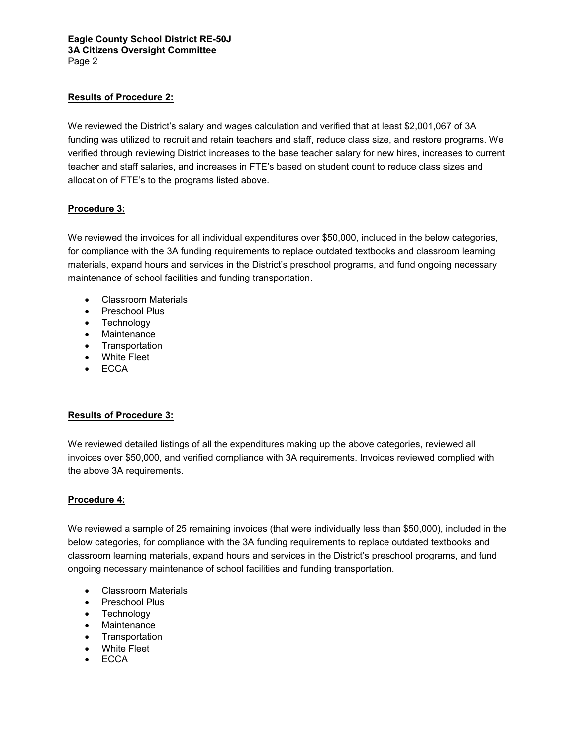### **Eagle County School District RE-50J 3A Citizens Oversight Committee** Page 2

# **Results of Procedure 2:**

We reviewed the District's salary and wages calculation and verified that at least \$2,001,067 of 3A funding was utilized to recruit and retain teachers and staff, reduce class size, and restore programs. We verified through reviewing District increases to the base teacher salary for new hires, increases to current teacher and staff salaries, and increases in FTE's based on student count to reduce class sizes and allocation of FTE's to the programs listed above.

## **Procedure 3:**

We reviewed the invoices for all individual expenditures over \$50,000, included in the below categories, for compliance with the 3A funding requirements to replace outdated textbooks and classroom learning materials, expand hours and services in the District's preschool programs, and fund ongoing necessary maintenance of school facilities and funding transportation.

- Classroom Materials
- Preschool Plus
- Technology
- Maintenance
- Transportation
- White Fleet
- ECCA

# **Results of Procedure 3:**

We reviewed detailed listings of all the expenditures making up the above categories, reviewed all invoices over \$50,000, and verified compliance with 3A requirements. Invoices reviewed complied with the above 3A requirements.

### **Procedure 4:**

We reviewed a sample of 25 remaining invoices (that were individually less than \$50,000), included in the below categories, for compliance with the 3A funding requirements to replace outdated textbooks and classroom learning materials, expand hours and services in the District's preschool programs, and fund ongoing necessary maintenance of school facilities and funding transportation.

- Classroom Materials
- Preschool Plus
- Technology
- Maintenance
- **Transportation**
- White Fleet
- ECCA